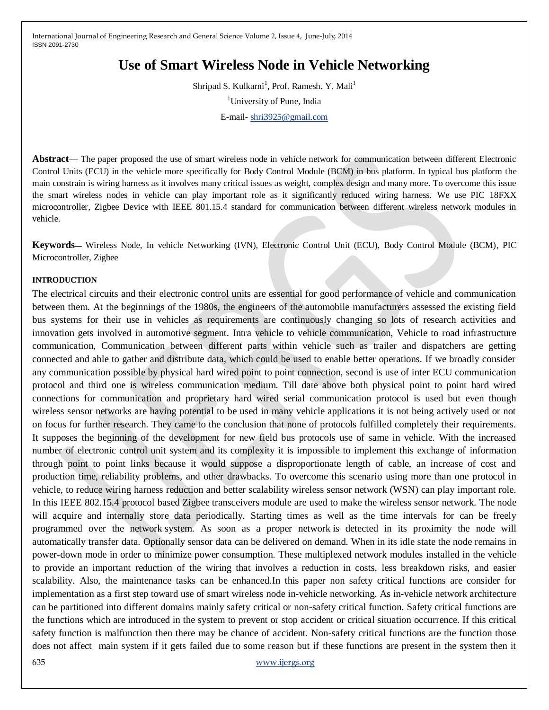# **Use of Smart Wireless Node in Vehicle Networking**

Shripad S. Kulkarni<sup>1</sup>, Prof. Ramesh. Y. Mali<sup>1</sup> <sup>1</sup>University of Pune, India E-mail- [shri3925@gmail.com](mailto:shri3925@gmail.com)

**Abstract**— The paper proposed the use of smart wireless node in vehicle network for communication between different Electronic Control Units (ECU) in the vehicle more specifically for Body Control Module (BCM) in bus platform. In typical bus platform the main constrain is wiring harness as it involves many critical issues as weight, complex design and many more. To overcome this issue the smart wireless nodes in vehicle can play important role as it significantly reduced wiring harness. We use PIC 18FXX microcontroller, Zigbee Device with IEEE 801.15.4 standard for communication between different wireless network modules in vehicle.

**Keywords—** Wireless Node, In vehicle Networking (IVN), Electronic Control Unit (ECU), Body Control Module (BCM), PIC Microcontroller, Zigbee

#### **INTRODUCTION**

The electrical circuits and their electronic control units are essential for good performance of vehicle and communication between them. At the beginnings of the 1980s, the engineers of the automobile manufacturers assessed the existing field bus systems for their use in vehicles as requirements are continuously changing so lots of research activities and innovation gets involved in automotive segment. Intra vehicle to vehicle communication, Vehicle to road infrastructure communication, Communication between different parts within vehicle such as trailer and dispatchers are getting connected and able to gather and distribute data, which could be used to enable better operations. If we broadly consider any communication possible by physical hard wired point to point connection, second is use of inter ECU communication protocol and third one is wireless communication medium. Till date above both physical point to point hard wired connections for communication and proprietary hard wired serial communication protocol is used but even though wireless sensor networks are having potential to be used in many vehicle applications it is not being actively used or not on focus for further research. They came to the conclusion that none of protocols fulfilled completely their requirements. It supposes the beginning of the development for new field bus protocols use of same in vehicle. With the increased number of electronic control unit system and its complexity it is impossible to implement this exchange of information through point to point links because it would suppose a disproportionate length of cable, an increase of cost and production time, reliability problems, and other drawbacks. To overcome this scenario using more than one protocol in vehicle, to reduce wiring harness reduction and better scalability wireless sensor network (WSN) can play important role. In this IEEE 802.15.4 protocol based Zigbee transceivers module are used to make the wireless sensor network. The node will acquire and internally store data periodically. Starting times as well as the time intervals for can be freely programmed over the network system. As soon as a proper network is detected in its proximity the node will automatically transfer data. Optionally sensor data can be delivered on demand. When in its idle state the node remains in power-down mode in order to minimize power consumption. These multiplexed network modules installed in the vehicle to provide an important reduction of the wiring that involves a reduction in costs, less breakdown risks, and easier scalability. Also, the maintenance tasks can be enhanced.In this paper non safety critical functions are consider for implementation as a first step toward use of smart wireless node in-vehicle networking. As in-vehicle network architecture can be partitioned into different domains mainly safety critical or non-safety critical function. Safety critical functions are the functions which are introduced in the system to prevent or stop accident or critical situation occurrence. If this critical safety function is malfunction then there may be chance of accident. Non-safety critical functions are the function those does not affect main system if it gets failed due to some reason but if these functions are present in the system then it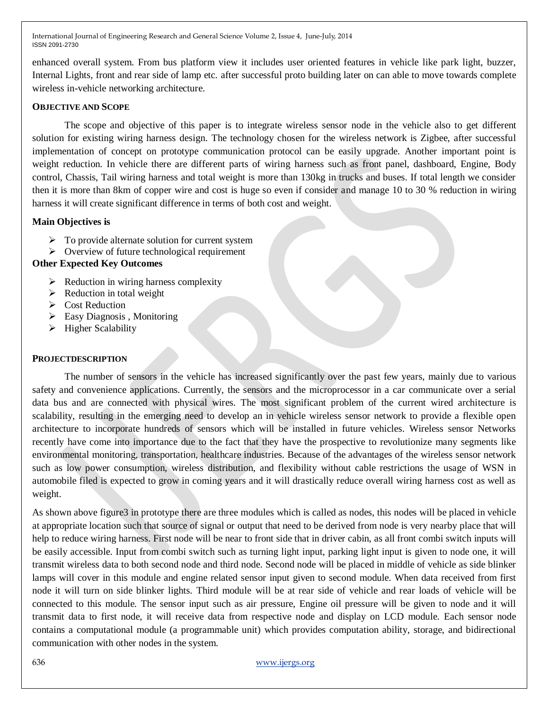enhanced overall system. From bus platform view it includes user oriented features in vehicle like park light, buzzer, Internal Lights, front and rear side of lamp etc. after successful proto building later on can able to move towards complete wireless in-vehicle networking architecture.

#### **OBJECTIVE AND SCOPE**

The scope and objective of this paper is to integrate wireless sensor node in the vehicle also to get different solution for existing wiring harness design. The technology chosen for the wireless network is Zigbee, after successful implementation of concept on prototype communication protocol can be easily upgrade. Another important point is weight reduction. In vehicle there are different parts of wiring harness such as front panel, dashboard, Engine, Body control, Chassis, Tail wiring harness and total weight is more than 130kg in trucks and buses. If total length we consider then it is more than 8km of copper wire and cost is huge so even if consider and manage 10 to 30 % reduction in wiring harness it will create significant difference in terms of both cost and weight.

## **Main Objectives is**

- $\triangleright$  To provide alternate solution for current system
- $\triangleright$  Overview of future technological requirement

# **Other Expected Key Outcomes**

- $\triangleright$  Reduction in wiring harness complexity
- $\triangleright$  Reduction in total weight
- $\triangleright$  Cost Reduction
- $\triangleright$  Easy Diagnosis, Monitoring
- $\triangleright$  Higher Scalability

## **PROJECTDESCRIPTION**

The number of sensors in the vehicle has increased significantly over the past few years, mainly due to various safety and convenience applications. Currently, the sensors and the microprocessor in a car communicate over a serial data bus and are connected with physical wires. The most significant problem of the current wired architecture is scalability, resulting in the emerging need to develop an in vehicle wireless sensor network to provide a flexible open architecture to incorporate hundreds of sensors which will be installed in future vehicles. Wireless sensor Networks recently have come into importance due to the fact that they have the prospective to revolutionize many segments like environmental monitoring, transportation, healthcare industries. Because of the advantages of the wireless sensor network such as low power consumption, wireless distribution, and flexibility without cable restrictions the usage of WSN in automobile filed is expected to grow in coming years and it will drastically reduce overall wiring harness cost as well as weight.

As shown above figure3 in prototype there are three modules which is called as nodes, this nodes will be placed in vehicle at appropriate location such that source of signal or output that need to be derived from node is very nearby place that will help to reduce wiring harness. First node will be near to front side that in driver cabin, as all front combi switch inputs will be easily accessible. Input from combi switch such as turning light input, parking light input is given to node one, it will transmit wireless data to both second node and third node. Second node will be placed in middle of vehicle as side blinker lamps will cover in this module and engine related sensor input given to second module. When data received from first node it will turn on side blinker lights. Third module will be at rear side of vehicle and rear loads of vehicle will be connected to this module. The sensor input such as air pressure, Engine oil pressure will be given to node and it will transmit data to first node, it will receive data from respective node and display on LCD module. Each sensor node contains a computational module (a programmable unit) which provides computation ability, storage, and bidirectional communication with other nodes in the system.

#### 636 [www.ijergs.org](http://www.ijergs.org/)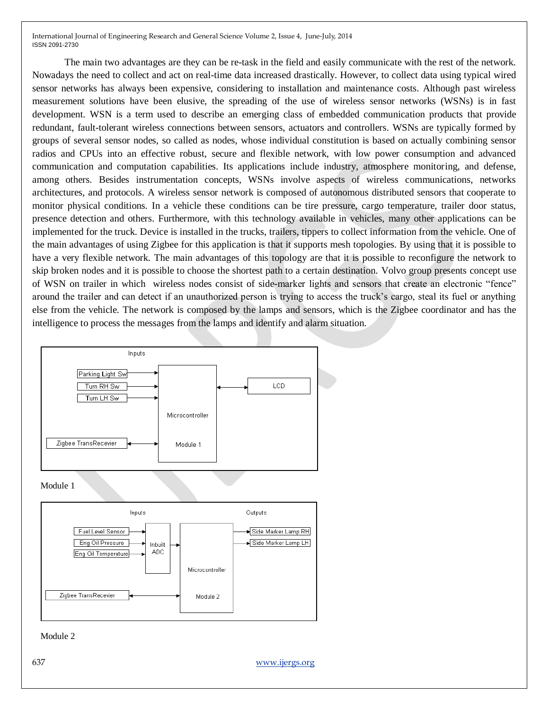The main two advantages are they can be re-task in the field and easily communicate with the rest of the network. Nowadays the need to collect and act on real-time data increased drastically. However, to collect data using typical wired sensor networks has always been expensive, considering to installation and maintenance costs. Although past wireless measurement solutions have been elusive, the spreading of the use of wireless sensor networks (WSNs) is in fast development. WSN is a term used to describe an emerging class of embedded communication products that provide redundant, fault-tolerant wireless connections between sensors, actuators and controllers. WSNs are typically formed by groups of several sensor nodes, so called as nodes, whose individual constitution is based on actually combining sensor radios and CPUs into an effective robust, secure and flexible network, with low power consumption and advanced communication and computation capabilities. Its applications include industry, atmosphere monitoring, and defense, among others. Besides instrumentation concepts, WSNs involve aspects of wireless communications, networks architectures, and protocols. A wireless sensor network is composed of autonomous distributed sensors that cooperate to monitor physical conditions. In a vehicle these conditions can be tire pressure, cargo temperature, trailer door status, presence detection and others. Furthermore, with this technology available in vehicles, many other applications can be implemented for the truck. Device is installed in the trucks, trailers, tippers to collect information from the vehicle. One of the main advantages of using Zigbee for this application is that it supports mesh topologies. By using that it is possible to have a very flexible network. The main advantages of this topology are that it is possible to reconfigure the network to skip broken nodes and it is possible to choose the shortest path to a certain destination. Volvo group presents concept use of WSN on trailer in which wireless nodes consist of side-marker lights and sensors that create an electronic "fence" around the trailer and can detect if an unauthorized person is trying to access the truck's cargo, steal its fuel or anything else from the vehicle. The network is composed by the lamps and sensors, which is the Zigbee coordinator and has the intelligence to process the messages from the lamps and identify and alarm situation.



#### Module 1



#### Module 2

637 [www.ijergs.org](http://www.ijergs.org/)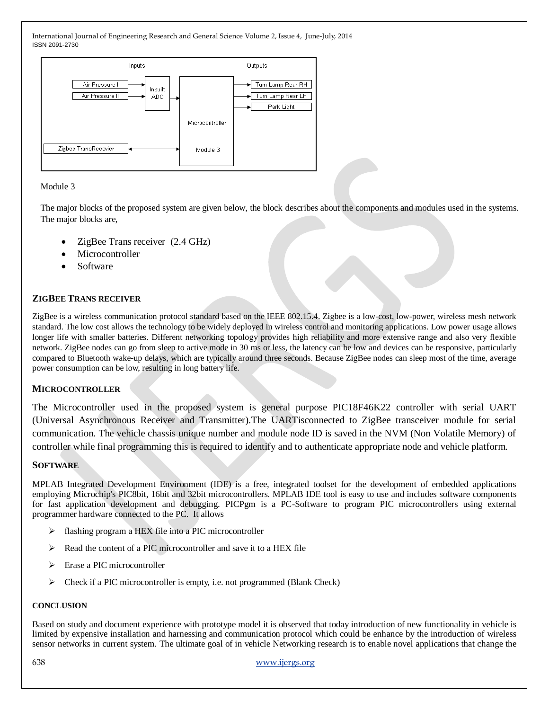

#### Module 3

The major blocks of the proposed system are given below, the block describes about the components and modules used in the systems. The major blocks are,

- ZigBee Trans receiver (2.4 GHz)
- Microcontroller
- Software

# **ZIGBEE TRANS RECEIVER**

ZigBee is a wireless communication protocol standard based on the IEEE 802.15.4. Zigbee is a low-cost, low-power, wireless mesh network standard. The low cost allows the technology to be widely deployed in wireless control and monitoring applications. Low power usage allows longer life with smaller batteries. Different networking topology provides high reliability and more extensive range and also very flexible network. ZigBee nodes can go from sleep to active mode in 30 ms or less, the latency can be low and devices can be responsive, particularly compared to Bluetooth wake-up delays, which are typically around three seconds. Because ZigBee nodes can sleep most of the time, average power consumption can be low, resulting in long battery life.

## **MICROCONTROLLER**

The Microcontroller used in the proposed system is general purpose PIC18F46K22 controller with serial UART (Universal Asynchronous Receiver and Transmitter).The UARTisconnected to ZigBee transceiver module for serial communication. The vehicle chassis unique number and module node ID is saved in the NVM (Non Volatile Memory) of controller while final programming this is required to identify and to authenticate appropriate node and vehicle platform.

## **SOFTWARE**

MPLAB Integrated Development Environment (IDE) is a free, integrated toolset for the development of embedded applications employing Microchip's PIC8bit, 16bit and 32bit microcontrollers. MPLAB IDE tool is easy to use and includes software components for fast application development and debugging. PICPgm is a PC-Software to program PIC microcontrollers using external programmer hardware connected to the PC. It allows

- $\triangleright$  flashing program a HEX file into a PIC microcontroller
- $\triangleright$  Read the content of a PIC microcontroller and save it to a HEX file
- Erase a PIC microcontroller
- Check if a PIC microcontroller is empty, i.e. not programmed (Blank Check)

#### **CONCLUSION**

Based on study and document experience with prototype model it is observed that today introduction of new functionality in vehicle is limited by expensive installation and harnessing and communication protocol which could be enhance by the introduction of wireless sensor networks in current system. The ultimate goal of in vehicle Networking research is to enable novel applications that change the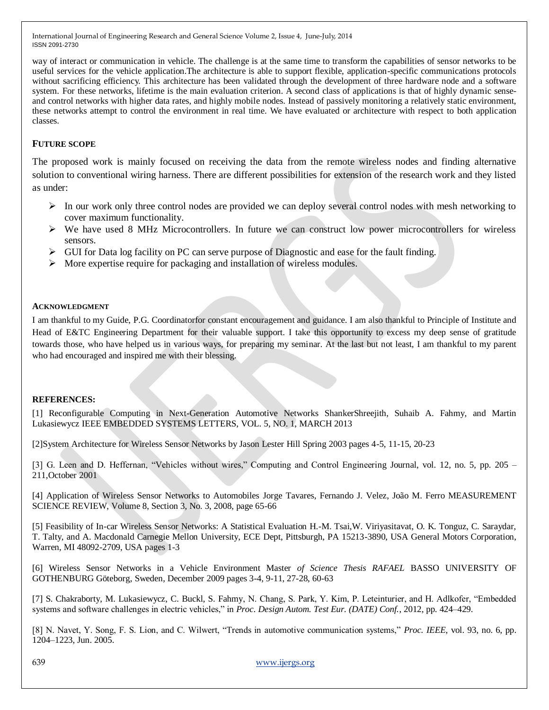way of interact or communication in vehicle. The challenge is at the same time to transform the capabilities of sensor networks to be useful services for the vehicle application.The architecture is able to support flexible, application-specific communications protocols without sacrificing efficiency. This architecture has been validated through the development of three hardware node and a software system. For these networks, lifetime is the main evaluation criterion. A second class of applications is that of highly dynamic senseand control networks with higher data rates, and highly mobile nodes. Instead of passively monitoring a relatively static environment, these networks attempt to control the environment in real time. We have evaluated or architecture with respect to both application classes.

# **FUTURE SCOPE**

The proposed work is mainly focused on receiving the data from the remote wireless nodes and finding alternative solution to conventional wiring harness. There are different possibilities for extension of the research work and they listed as under:

- $\triangleright$  In our work only three control nodes are provided we can deploy several control nodes with mesh networking to cover maximum functionality.
- $\triangleright$  We have used 8 MHz Microcontrollers. In future we can construct low power microcontrollers for wireless sensors.
- $\triangleright$  GUI for Data log facility on PC can serve purpose of Diagnostic and ease for the fault finding.
- $\triangleright$  More expertise require for packaging and installation of wireless modules.

#### **ACKNOWLEDGMENT**

I am thankful to my Guide, P.G. Coordinatorfor constant encouragement and guidance. I am also thankful to Principle of Institute and Head of E&TC Engineering Department for their valuable support. I take this opportunity to excess my deep sense of gratitude towards those, who have helped us in various ways, for preparing my seminar. At the last but not least, I am thankful to my parent who had encouraged and inspired me with their blessing.

## **REFERENCES:**

[1] Reconfigurable Computing in Next-Generation Automotive Networks ShankerShreejith, Suhaib A. Fahmy, and Martin Lukasiewycz IEEE EMBEDDED SYSTEMS LETTERS, VOL. 5, NO. 1, MARCH 2013

[2]System Architecture for Wireless Sensor Networks by Jason Lester Hill Spring 2003 pages 4-5, 11-15, 20-23

[3] G. Leen and D. Heffernan, "Vehicles without wires," Computing and Control Engineering Journal, vol. 12, no. 5, pp. 205 – 211,October 2001

[4] Application of Wireless Sensor Networks to Automobiles Jorge Tavares, Fernando J. Velez, João M. Ferro MEASUREMENT SCIENCE REVIEW, Volume 8, Section 3, No. 3, 2008, page 65-66

[5] Feasibility of In-car Wireless Sensor Networks: A Statistical Evaluation H.-M. Tsai,W. Viriyasitavat, O. K. Tonguz, C. Saraydar, T. Talty, and A. Macdonald Carnegie Mellon University, ECE Dept, Pittsburgh, PA 15213-3890, USA General Motors Corporation, Warren, MI 48092-2709, USA pages 1-3

[6] Wireless Sensor Networks in a Vehicle Environment Master *of Science Thesis RAFAEL* BASSO UNIVERSITY OF GOTHENBURG Göteborg, Sweden, December 2009 pages 3-4, 9-11, 27-28, 60-63

[7] S. Chakraborty, M. Lukasiewycz, C. Buckl, S. Fahmy, N. Chang, S. Park, Y. Kim, P. Leteinturier, and H. Adlkofer, "Embedded systems and software challenges in electric vehicles," in *Proc. Design Autom. Test Eur. (DATE) Conf.*, 2012, pp. 424–429.

[8] N. Navet, Y. Song, F. S. Lion, and C. Wilwert, "Trends in automotive communication systems," *Proc. IEEE*, vol. 93, no. 6, pp. 1204–1223, Jun. 2005.

639 [www.ijergs.org](http://www.ijergs.org/)